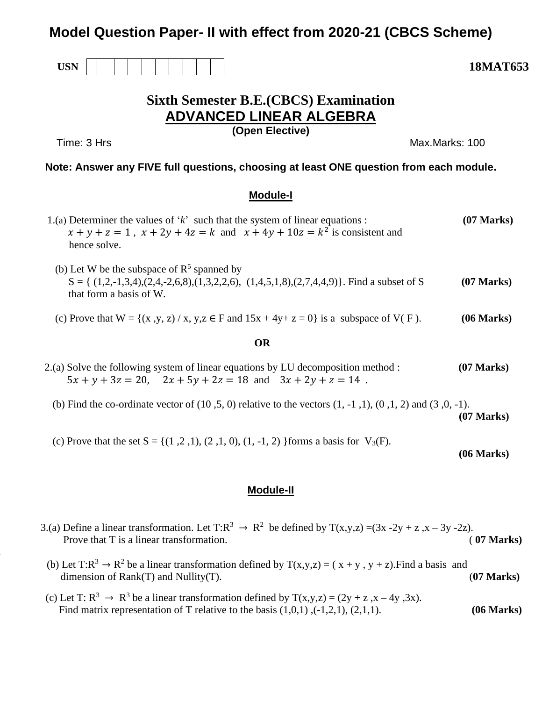# **Model Question Paper- II with effect from 2020-21 (CBCS Scheme)**



# **Sixth Semester B.E.(CBCS) Examination ADVANCED LINEAR ALGEBRA**

**1.**

**(Open Elective)**

Time: 3 Hrs Max.Marks: 100

## **Note: Answer any FIVE full questions, choosing at least ONE question from each module.**

## **Module-I**

|           | 1.(a) Determiner the values of $k$ such that the system of linear equations :<br>$x + y + z = 1$ , $x + 2y + 4z = k$ and $x + 4y + 10z = k^2$ is consistent and<br>hence solve. | $(07$ Marks)         |  |
|-----------|---------------------------------------------------------------------------------------------------------------------------------------------------------------------------------|----------------------|--|
|           | (b) Let W be the subspace of $R^5$ spanned by<br>$S = \{(1,2,-1,3,4), (2,4,-2,6,8), (1,3,2,2,6), (1,4,5,1,8), (2,7,4,4,9)\}.$ Find a subset of S<br>that form a basis of W.     | $(07 \text{ Marks})$ |  |
|           | (c) Prove that $W = \{(x, y, z) / x, y, z \in F \text{ and } 15x + 4y + z = 0\}$ is a subspace of $V(F)$ .                                                                      | (06 Marks)           |  |
| <b>OR</b> |                                                                                                                                                                                 |                      |  |
|           | 2.(a) Solve the following system of linear equations by LU decomposition method :<br>$5x + y + 3z = 20$ , $2x + 5y + 2z = 18$ and $3x + 2y + z = 14$ .                          | $(07$ Marks)         |  |
|           | (b) Find the co-ordinate vector of $(10, 5, 0)$ relative to the vectors $(1, -1, 1), (0, 1, 2)$ and $(3, 0, -1)$ .                                                              | $(07$ Marks)         |  |

(c) Prove that the set  $S = \{(1, 2, 1), (2, 1, 0), (1, -1, 2)\}$  forms a basis for  $V_3(F)$ .

**(06 Marks)**

## **Module-II**

- 3.(a) Define a linear transformation. Let  $T:R^3 \to R^2$  be defined by  $T(x,y,z) = (3x 2y + z, x 3y 2z)$ . Prove that T is a linear transformation. (a)  $(07 \text{ Marks})$
- (b) Let T: $R^3 \rightarrow R^2$  be a linear transformation defined by T(x,y,z) = (x+y, y+z). Find a basis and dimension of Rank(T) and Nullity(T). (**07 Marks)**
	- (c) Let T:  $R^3 \rightarrow R^3$  be a linear transformation defined by  $T(x,y,z) = (2y + z, x 4y, 3x)$ . Find matrix representation of T relative to the basis  $(1,0,1)$ ,  $(-1,2,1)$ ,  $(2,1,1)$ . **(06 Marks)**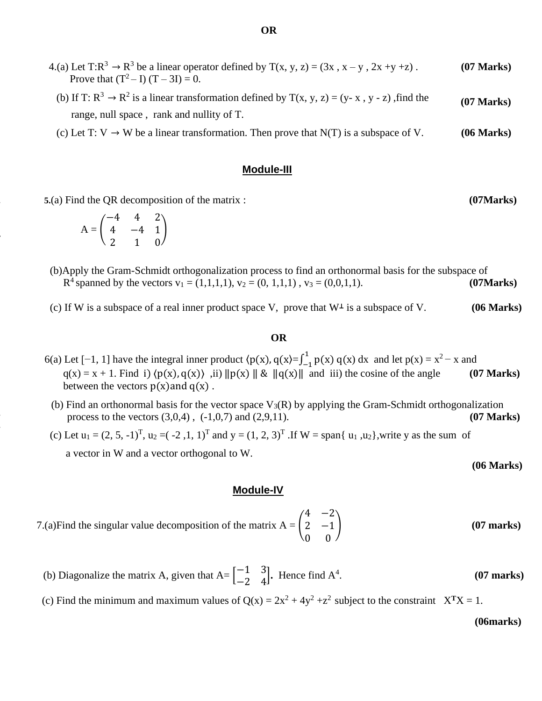| $(07 \text{ Marks})$ | 4.(a) Let T: $R^3 \rightarrow R^3$ be a linear operator defined by T(x, y, z) = (3x, x - y, 2x +y +z).<br>Prove that $(T^2 - I) (T - 3I) = 0$ .         |
|----------------------|---------------------------------------------------------------------------------------------------------------------------------------------------------|
| $(07$ Marks)         | (b) If T: $R^3 \rightarrow R^2$ is a linear transformation defined by T(x, y, z) = (y- x, y - z), find the<br>range, null space, rank and nullity of T. |
| (06 Marks)           | (c) Let T: V $\rightarrow$ W be a linear transformation. Then prove that N(T) is a subspace of V.                                                       |

### **Module-III**

**2. 5.**(a) Find the QR decomposition of the matrix : **(07Marks)**

$$
A = \begin{pmatrix} -4 & 4 & 2 \\ 4 & -4 & 1 \\ 2 & 1 & 0 \end{pmatrix}
$$

**3.**

**4.**

**5.**

- (b)Apply the Gram-Schmidt orthogonalization process to find an orthonormal basis for the subspace of  $R^4$  spanned by the vectors  $v_1 = (1,1,1,1)$ ,  $v_2 = (0, 1,1,1)$ ,  $v_3 = (0,0,1,1)$ . **(07Marks)** 
	- (c) If W is a subspace of a real inner product space V, prove that W<sup>⊥</sup> is a subspace of V. **(06 Marks)**

#### **OR**

- 6(a) Let [-1, 1] have the integral inner product  $\langle p(x), q(x) = \int_{-1}^{1} p(x) q(x)$  $\int_{-1}^{1} p(x) q(x) dx$  and let  $p(x) = x^2 - x$  and  $q(x) = x + 1$ . Find i)  $\langle p(x), q(x) \rangle$ , ii)  $\|p(x)\| \& \|q(x)\|$  and iii) the cosine of the angle **(07 Marks)** between the vectors  $p(x)$  and  $q(x)$ .
	- (b) Find an orthonormal basis for the vector space  $V_3(R)$  by applying the Gram-Schmidt orthogonalization process to the vectors  $(3,0,4)$ ,  $(-1,0,7)$  and  $(2,9,11)$ . **(07 Marks)**
- (c) Let  $u_1 = (2, 5, -1)^T$ ,  $u_2 = (-2, 1, 1)^T$  and  $y = (1, 2, 3)^T$ . If  $W = \text{span}\{u_1, u_2\}$ , write y as the sum of a vector in W and a vector orthogonal to W.

**(06 Marks)**

#### **Module-IV**

- 7.(a)Find the singular value decomposition of the matrix  $A = \begin{bmatrix} 1 \\ 1 \end{bmatrix}$  $4 -2$ 2 −1 0 0 ) **(07 marks)**
- (b) Diagonalize the matrix A, given that  $A = \begin{bmatrix} -1 & 3 \\ 2 & 4 \end{bmatrix}$  $\begin{bmatrix} -1 & 3 \\ -2 & 4 \end{bmatrix}$ . Hence find A<sup>4</sup> . **(07 marks)**
	- (c) Find the minimum and maximum values of  $Q(x) = 2x^2 + 4y^2 + z^2$  subject to the constraint  $X<sup>T</sup>X = 1$ .

**(06marks)**